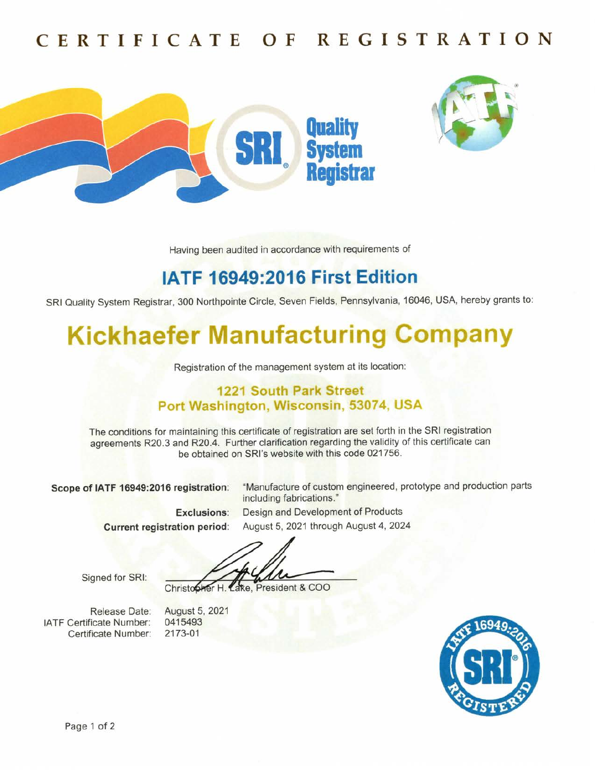## CERTIFICATE 0F REGISTRATION





Having been audited in accordance with requirements of

## IATF 16949:2016 First Edition

SRI Quality System Registrar, 300 Northpointe Circle, Seven Fields, Pennsylvania,16046, USA, hereby grants to:

# Kickhaefer Manufacturing Company

Registration of the management system at its location:

#### 1221 South Park Street Port Washington, Wisconsin, 53074, USA

The conditions for maintaining this certificate of registration are set forth in the SRl registration agreements R20.3 and R20.4. Further clarification regarding the validity of this certificate can be obtained on SRl's website with this code 021756.

Scope of IATF 16949:2016 registration: "Manufacture of custom engineered, prototype and production parts

including fabrications."

Exclusions: Design and Development of Products Current registration period: August 5, 2021 through August 4, 2024

Signed for SRl:

Christopher H. Lake, President & COO

Release Date: lATF Certificate Number: Certificate Number:

August 5, 2021 0415493 2173-01